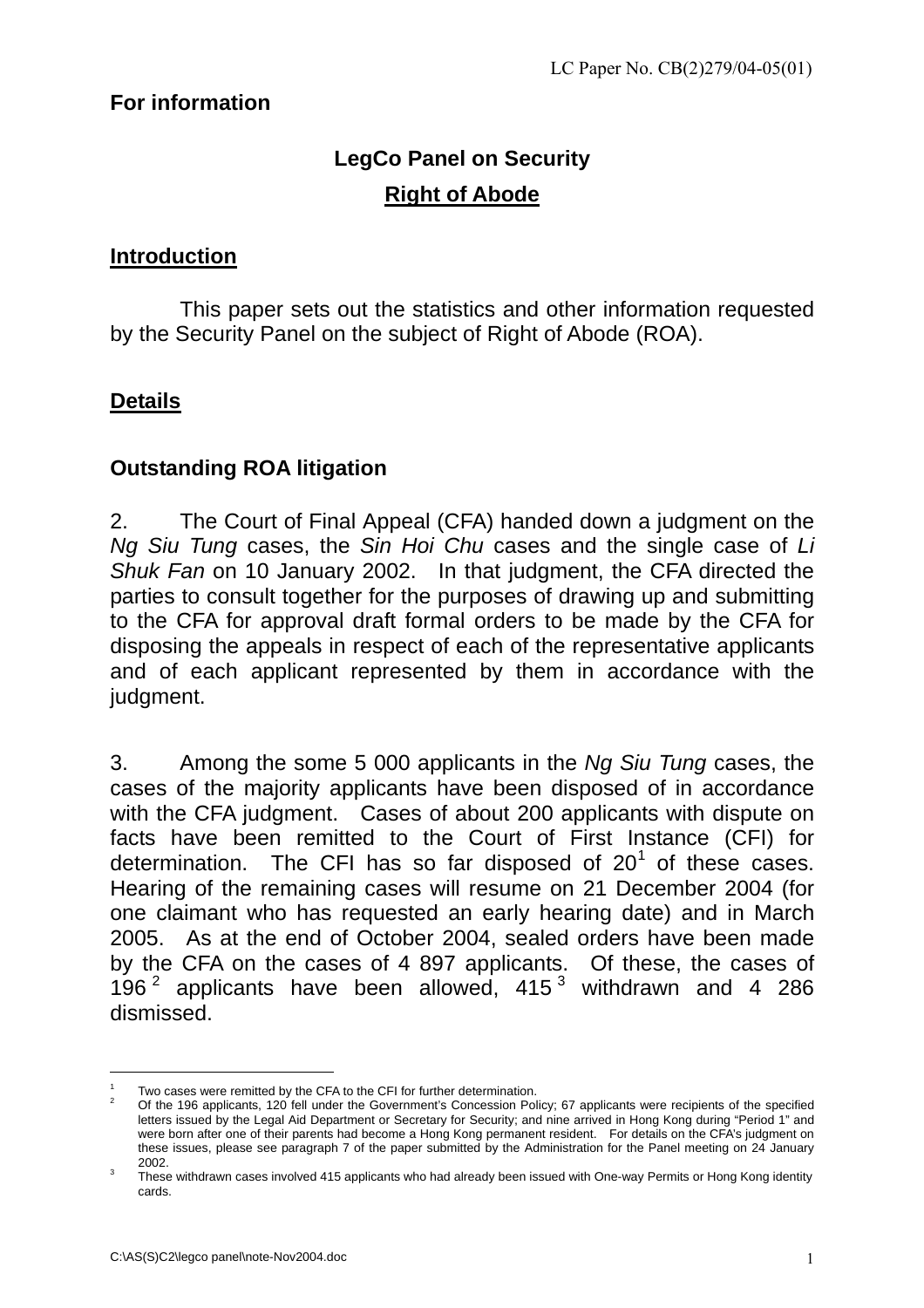## **For information**

# **LegCo Panel on Security Right of Abode**

#### **Introduction**

This paper sets out the statistics and other information requested by the Security Panel on the subject of Right of Abode (ROA).

#### **Details**

#### **Outstanding ROA litigation**

2. The Court of Final Appeal (CFA) handed down a judgment on the *Ng Siu Tung* cases, the *Sin Hoi Chu* cases and the single case of *Li Shuk Fan* on 10 January 2002. In that judgment, the CFA directed the parties to consult together for the purposes of drawing up and submitting to the CFA for approval draft formal orders to be made by the CFA for disposing the appeals in respect of each of the representative applicants and of each applicant represented by them in accordance with the judgment.

3. Among the some 5 000 applicants in the *Ng Siu Tung* cases, the cases of the majority applicants have been disposed of in accordance with the CFA judgment. Cases of about 200 applicants with dispute on facts have been remitted to the Court of First Instance (CFI) for determination. The CFI has so far disposed of  $20^1$  $20^1$  of these cases. Hearing of the remaining cases will resume on 21 December 2004 (for one claimant who has requested an early hearing date) and in March 2005. As at the end of October 2004, sealed orders have been made by the CFA on the cases of 4 897 applicants. Of these, the cases of 196 $^2$  $^2$  applicants have been allowed, 415 $^3$  $^3$  withdrawn and 4 286 dismissed.

 $\overline{a}$ 

<span id="page-0-1"></span><span id="page-0-0"></span>Two cases were remitted by the CFA to the CFI for further determination.<br>Of the 196 applicants, 120 fell under the Government's Concession Policy; 67 applicants were recipients of the specified letters issued by the Legal Aid Department or Secretary for Security; and nine arrived in Hong Kong during "Period 1" and were born after one of their parents had become a Hong Kong permanent resident. For details on the CFA's judgment on these issues, please see paragraph 7 of the paper submitted by the Administration for the Panel meeting on 24 January

<span id="page-0-2"></span><sup>2002.&</sup>lt;br>These withdrawn cases involved 415 applicants who had already been issued with One-way Permits or Hong Kong identity cards.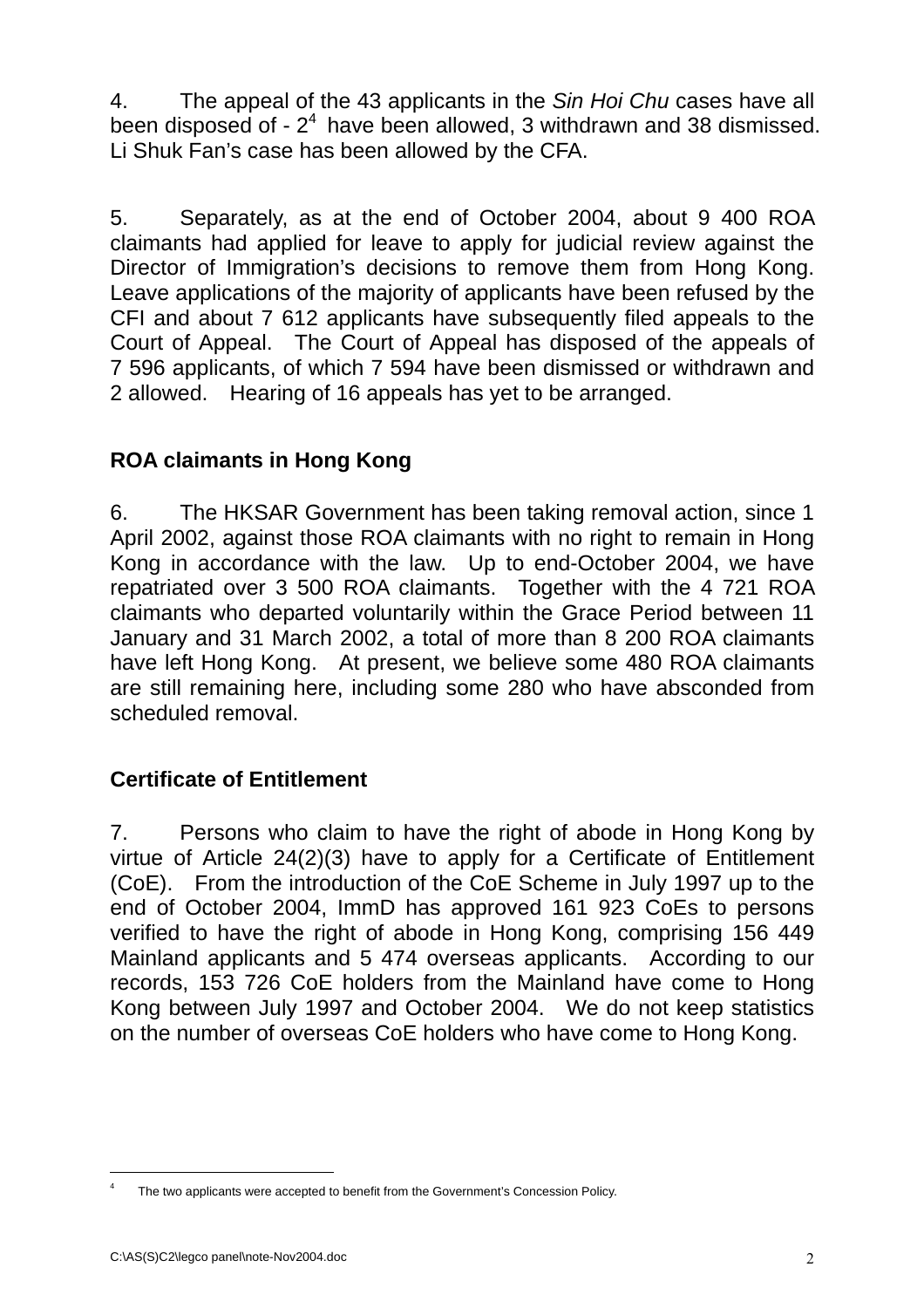4. The appeal of the 43 applicants in the *Sin Hoi Chu* cases have all been disposed of  $-2<sup>4</sup>$  $-2<sup>4</sup>$  $-2<sup>4</sup>$  have been allowed, 3 withdrawn and 38 dismissed. Li Shuk Fan's case has been allowed by the CFA.

5. Separately, as at the end of October 2004, about 9 400 ROA claimants had applied for leave to apply for judicial review against the Director of Immigration's decisions to remove them from Hong Kong. Leave applications of the majority of applicants have been refused by the CFI and about 7 612 applicants have subsequently filed appeals to the Court of Appeal. The Court of Appeal has disposed of the appeals of 7 596 applicants, of which 7 594 have been dismissed or withdrawn and 2 allowed. Hearing of 16 appeals has yet to be arranged.

# **ROA claimants in Hong Kong**

6. The HKSAR Government has been taking removal action, since 1 April 2002, against those ROA claimants with no right to remain in Hong Kong in accordance with the law. Up to end-October 2004, we have repatriated over 3 500 ROA claimants. Together with the 4 721 ROA claimants who departed voluntarily within the Grace Period between 11 January and 31 March 2002, a total of more than 8 200 ROA claimants have left Hong Kong. At present, we believe some 480 ROA claimants are still remaining here, including some 280 who have absconded from scheduled removal.

## **Certificate of Entitlement**

7. Persons who claim to have the right of abode in Hong Kong by virtue of Article 24(2)(3) have to apply for a Certificate of Entitlement (CoE). From the introduction of the CoE Scheme in July 1997 up to the end of October 2004, ImmD has approved 161 923 CoEs to persons verified to have the right of abode in Hong Kong, comprising 156 449 Mainland applicants and 5 474 overseas applicants. According to our records, 153 726 CoE holders from the Mainland have come to Hong Kong between July 1997 and October 2004. We do not keep statistics on the number of overseas CoE holders who have come to Hong Kong.

 $\overline{a}$ 

<span id="page-1-0"></span>The two applicants were accepted to benefit from the Government's Concession Policy.